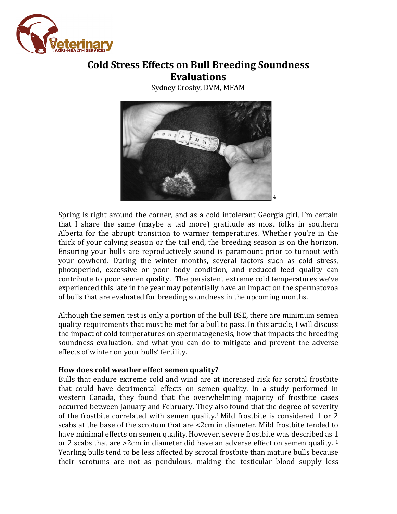

# **Cold Stress Effects on Bull Breeding Soundness Evaluations**

Sydney Crosby, DVM, MFAM



Spring is right around the corner, and as a cold intolerant Georgia girl, I'm certain that I share the same (maybe a tad more) gratitude as most folks in southern Alberta for the abrupt transition to warmer temperatures. Whether you're in the thick of your calving season or the tail end, the breeding season is on the horizon. Ensuring your bulls are reproductively sound is paramount prior to turnout with your cowherd. During the winter months, several factors such as cold stress, photoperiod, excessive or poor body condition, and reduced feed quality can contribute to poor semen quality. The persistent extreme cold temperatures we've experienced this late in the year may potentially have an impact on the spermatozoa of bulls that are evaluated for breeding soundness in the upcoming months.

Although the semen test is only a portion of the bull BSE, there are minimum semen quality requirements that must be met for a bull to pass. In this article, I will discuss the impact of cold temperatures on spermatogenesis, how that impacts the breeding soundness evaluation, and what you can do to mitigate and prevent the adverse effects of winter on your bulls' fertility.

## **How does cold weather effect semen quality?**

Bulls that endure extreme cold and wind are at increased risk for scrotal frostbite that could have detrimental effects on semen quality. In a study performed in western Canada, they found that the overwhelming majority of frostbite cases occurred between January and February. They also found that the degree of severity of the frostbite correlated with semen quality. <sup>1</sup> Mild frostbite is considered 1 or 2 scabs at the base of the scrotum that are <2cm in diameter. Mild frostbite tended to have minimal effects on semen quality.However, severe frostbite was described as 1 or 2 scabs that are  $>2$ cm in diameter did have an adverse effect on semen quality.  $1$ Yearling bulls tend to be less affected by scrotal frostbite than mature bulls because their scrotums are not as pendulous, making the testicular blood supply less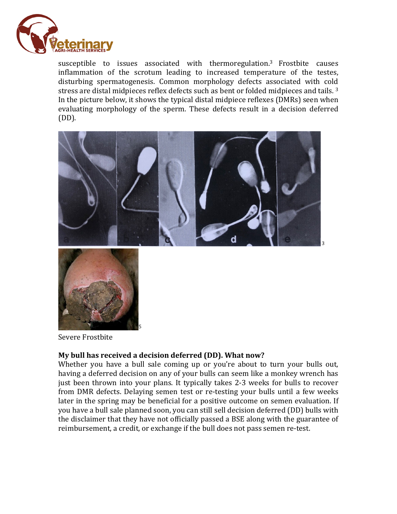

susceptible to issues associated with thermoregulation.3 Frostbite causes inflammation of the scrotum leading to increased temperature of the testes, disturbing spermatogenesis. Common morphology defects associated with cold stress are distal midpieces reflex defects such as bent or folded midpieces and tails.<sup>3</sup> In the picture below, it shows the typical distal midpiece reflexes (DMRs) seen when evaluating morphology of the sperm. These defects result in a decision deferred (DD).





Severe Frostbite

## **My bull has received a decision deferred (DD). What now?**

5

Whether you have a bull sale coming up or you're about to turn your bulls out, having a deferred decision on any of your bulls can seem like a monkey wrench has just been thrown into your plans. It typically takes 2-3 weeks for bulls to recover from DMR defects. Delaying semen test or re-testing your bulls until a few weeks later in the spring may be beneficial for a positive outcome on semen evaluation. If you have a bull sale planned soon, you can still sell decision deferred (DD) bulls with the disclaimer that they have not officially passed a BSE along with the guarantee of reimbursement, a credit, or exchange if the bull does not pass semen re-test.